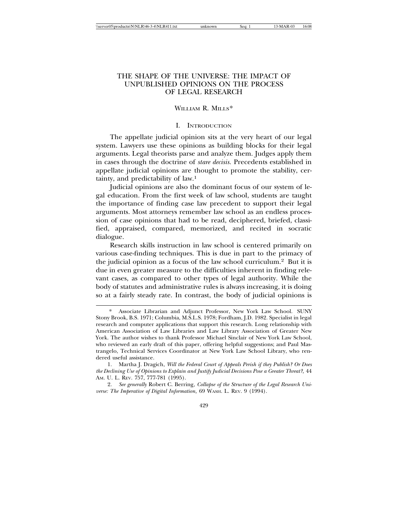| \\server05\productn\N\NLR\46-3-4\NLR411.txt | unknown | Sea: 1 |
|---------------------------------------------|---------|--------|
|---------------------------------------------|---------|--------|

# THE SHAPE OF THE UNIVERSE: THE IMPACT OF UNPUBLISHED OPINIONS ON THE PROCESS OF LEGAL RESEARCH

13-MAR-03 16:08

## WILLIAM R. MILLS\*

## I. INTRODUCTION

The appellate judicial opinion sits at the very heart of our legal system. Lawyers use these opinions as building blocks for their legal arguments. Legal theorists parse and analyze them. Judges apply them in cases through the doctrine of *stare decisis.* Precedents established in appellate judicial opinions are thought to promote the stability, certainty, and predictability of law.1

Judicial opinions are also the dominant focus of our system of legal education. From the first week of law school, students are taught the importance of finding case law precedent to support their legal arguments. Most attorneys remember law school as an endless procession of case opinions that had to be read, deciphered, briefed, classified, appraised, compared, memorized, and recited in socratic dialogue.

Research skills instruction in law school is centered primarily on various case-finding techniques. This is due in part to the primacy of the judicial opinion as a focus of the law school curriculum.2 But it is due in even greater measure to the difficulties inherent in finding relevant cases, as compared to other types of legal authority. While the body of statutes and administrative rules is always increasing, it is doing so at a fairly steady rate. In contrast, the body of judicial opinions is

1. Martha J. Dragich, *Will the Federal Court of Appeals Perish if they Publish? Or Does the Declining Use of Opinions to Explain and Justify Judicial Decisions Pose a Greater Threat?,* 44 AM. U. L. REV. 757, 777-781 (1995).

2. *See generally* Robert C. Berring, *Collapse of the Structure of the Legal Research Universe: The Imperative of Digital Information,* 69 WASH. L. REV. 9 (1994).

429

<sup>\*</sup> Associate Librarian and Adjunct Professor, New York Law School. SUNY Stony Brook, B.S. 1971; Columbia, M.S.L.S. 1978; Fordham, J.D. 1982. Specialist in legal research and computer applications that support this research. Long relationship with American Association of Law Libraries and Law Library Association of Greater New York. The author wishes to thank Professor Michael Sinclair of New York Law School, who reviewed an early draft of this paper, offering helpful suggestions; and Paul Mastrangelo, Technical Services Coordinator at New York Law School Library, who rendered useful assistance.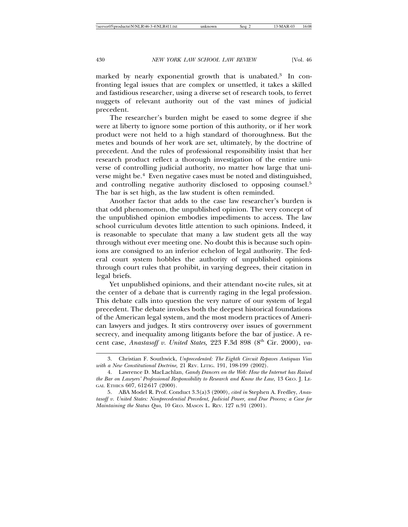marked by nearly exponential growth that is unabated.3 In confronting legal issues that are complex or unsettled, it takes a skilled and fastidious researcher, using a diverse set of research tools, to ferret nuggets of relevant authority out of the vast mines of judicial precedent.

The researcher's burden might be eased to some degree if she were at liberty to ignore some portion of this authority, or if her work product were not held to a high standard of thoroughness. But the metes and bounds of her work are set, ultimately, by the doctrine of precedent. And the rules of professional responsibility insist that her research product reflect a thorough investigation of the entire universe of controlling judicial authority, no matter how large that universe might be.4 Even negative cases must be noted and distinguished, and controlling negative authority disclosed to opposing counsel.<sup>5</sup> The bar is set high, as the law student is often reminded.

Another factor that adds to the case law researcher's burden is that odd phenomenon, the unpublished opinion. The very concept of the unpublished opinion embodies impediments to access. The law school curriculum devotes little attention to such opinions. Indeed, it is reasonable to speculate that many a law student gets all the way through without ever meeting one. No doubt this is because such opinions are consigned to an inferior echelon of legal authority. The federal court system hobbles the authority of unpublished opinions through court rules that prohibit, in varying degrees, their citation in legal briefs.

Yet unpublished opinions, and their attendant no-cite rules, sit at the center of a debate that is currently raging in the legal profession. This debate calls into question the very nature of our system of legal precedent. The debate invokes both the deepest historical foundations of the American legal system, and the most modern practices of American lawyers and judges. It stirs controversy over issues of government secrecy, and inequality among litigants before the bar of justice. A recent case, *Anastasoff v. United States*, 223 F.3d 898 (8<sup>th</sup> Cir. 2000), *va*-

<sup>3.</sup> Christian F. Southwick, *Unprecedented: The Eighth Circuit Repaves Antiquas Vias with a New Constitutional Doctrine,* 21 REV. LITIG. 191, 198-199 (2002).

<sup>4.</sup> Lawrence D. MacLachlan, *Gandy Dancers on the Web: How the Internet has Raised the Bar on Lawyers' Professional Responsibility to Research and Know the Law,* 13 GEO. J. LE-GAL ETHICS 607, 612-617 (2000).

<sup>5.</sup> ABA Model R. Prof. Conduct 3.3(a)3 (2000), *cited in* Stephen A. Fredley, *Anastasoff v. United States: Nonprecedential Precedent, Judicial Power, and Due Process; a Case for Maintaining the Status Quo,* 10 GEO. MASON L. REV. 127 n.91 (2001).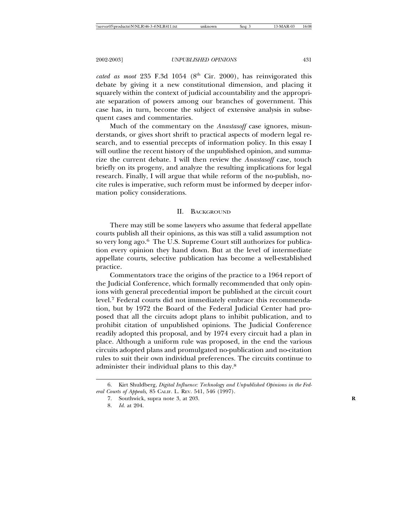*cated as moot* 235 F.3d 1054 ( $8<sup>th</sup>$  Cir. 2000), has reinvigorated this debate by giving it a new constitutional dimension, and placing it squarely within the context of judicial accountability and the appropriate separation of powers among our branches of government. This case has, in turn, become the subject of extensive analysis in subsequent cases and commentaries.

Much of the commentary on the *Anastasoff* case ignores, misunderstands, or gives short shrift to practical aspects of modern legal research, and to essential precepts of information policy. In this essay I will outline the recent history of the unpublished opinion, and summarize the current debate. I will then review the *Anastasoff* case, touch briefly on its progeny, and analyze the resulting implications for legal research. Finally, I will argue that while reform of the no-publish, nocite rules is imperative, such reform must be informed by deeper information policy considerations.

## II. BACKGROUND

There may still be some lawyers who assume that federal appellate courts publish all their opinions, as this was still a valid assumption not so very long ago.6 The U.S. Supreme Court still authorizes for publication every opinion they hand down. But at the level of intermediate appellate courts, selective publication has become a well-established practice.

Commentators trace the origins of the practice to a 1964 report of the Judicial Conference, which formally recommended that only opinions with general precedential import be published at the circuit court level.7 Federal courts did not immediately embrace this recommendation, but by 1972 the Board of the Federal Judicial Center had proposed that all the circuits adopt plans to inhibit publication, and to prohibit citation of unpublished opinions. The Judicial Conference readily adopted this proposal, and by 1974 every circuit had a plan in place. Although a uniform rule was proposed, in the end the various circuits adopted plans and promulgated no-publication and no-citation rules to suit their own individual preferences. The circuits continue to administer their individual plans to this day.<sup>8</sup>

<sup>6.</sup> Kirt Shuldberg, *Digital Influence: Technology and Unpublished Opinions in the Federal Courts of Appeals,* 85 CALIF. L. REV. 541, 546 (1997).

<sup>7.</sup> Southwick, supra note 3, at 203. **R**

<sup>8.</sup> *Id.* at 204.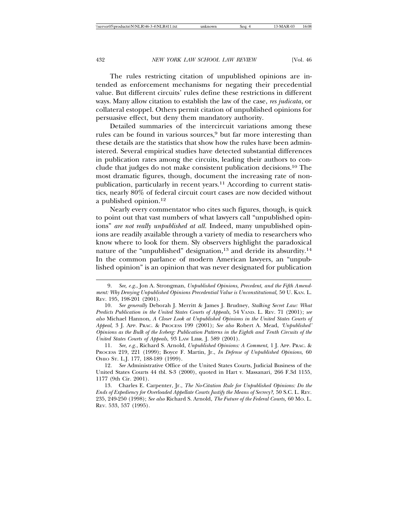The rules restricting citation of unpublished opinions are intended as enforcement mechanisms for negating their precedential value. But different circuits' rules define these restrictions in different ways. Many allow citation to establish the law of the case, *res judicata*, or collateral estoppel. Others permit citation of unpublished opinions for persuasive effect, but deny them mandatory authority.

Detailed summaries of the intercircuit variations among these rules can be found in various sources,<sup>9</sup> but far more interesting than these details are the statistics that show how the rules have been administered. Several empirical studies have detected substantial differences in publication rates among the circuits, leading their authors to conclude that judges do not make consistent publication decisions.10 The most dramatic figures, though, document the increasing rate of nonpublication, particularly in recent years.<sup>11</sup> According to current statistics, nearly 80% of federal circuit court cases are now decided without a published opinion.<sup>12</sup>

Nearly every commentator who cites such figures, though, is quick to point out that vast numbers of what lawyers call "unpublished opinions" *are not really unpublished at all.* Indeed, many unpublished opinions are readily available through a variety of media to researchers who know where to look for them. Sly observers highlight the paradoxical nature of the "unpublished" designation,<sup>13</sup> and deride its absurdity.<sup>14</sup> In the common parlance of modern American lawyers, an "unpublished opinion" is an opinion that was never designated for publication

11. *See, e.g.*, Richard S. Arnold, *Unpublished Opinions: A Comment,* 1 J. APP. PRAC. & PROCESS 219, 221 (1999); Boyce F. Martin, Jr., *In Defense of Unpublished Opinions,* 60 OHIO ST. L.J. 177, 188-189 (1999).

12. *See* Administrative Office of the United States Courts, Judicial Business of the United States Courts 44 tbl. S-3 (2000), quoted in Hart v. Massanari*,* 266 F.3d 1155, 1177 (9th Cir. 2001).

13. Charles E. Carpenter, Jr., *The No-Citation Rule for Unpublished Opinions: Do the Ends of Expediency for Overloaded Appellate Courts Justify the Means of Secrecy?,* 50 S.C. L. REV. 235, 249-250 (1998); *See also* Richard S. Arnold, *The Future of the Federal Courts,* 60 MO. L. REV. 533, 537 (1995).

<sup>9.</sup> *See, e.g*., Jon A. Strongman, *Unpublished Opinions, Precedent, and the Fifth Amendment: Why Denying Unpublished Opinions Precedential Value is Unconstitutional,* 50 U. KAN. L. REV. 195, 198-201 (2001).

<sup>10.</sup> *See generally* Deborah J. Merritt & James J. Brudney, *Stalking Secret Law: What Predicts Publication in the United States Courts of Appeals,* 54 VAND. L. REV. 71 (2001); *see also* Michael Hannon, *A Closer Look at Unpublished Opinions in the United States Courts of Appeal,* 3 J. APP. PRAC. & PROCESS 199 (2001); *See also* Robert A. Mead, *'Unpublished' Opinions as the Bulk of the Iceberg: Publication Patterns in the Eighth and Tenth Circuits of the United States Courts of Appeals,* 93 LAW LIBR. J. 589 (2001).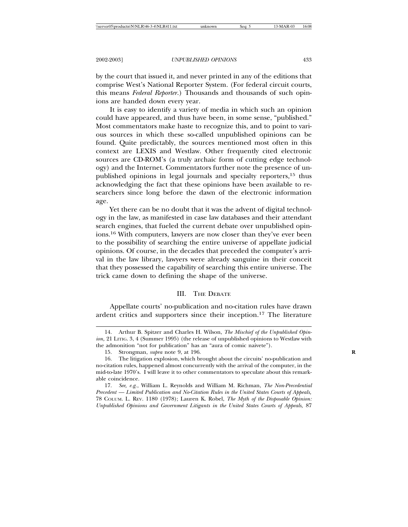by the court that issued it, and never printed in any of the editions that comprise West's National Reporter System. (For federal circuit courts, this means *Federal Reporter*.) Thousands and thousands of such opinions are handed down every year.

It is easy to identify a variety of media in which such an opinion could have appeared, and thus have been, in some sense, "published." Most commentators make haste to recognize this, and to point to various sources in which these so-called unpublished opinions can be found. Quite predictably, the sources mentioned most often in this context are LEXIS and Westlaw. Other frequently cited electronic sources are CD-ROM's (a truly archaic form of cutting edge technology) and the Internet. Commentators further note the presence of unpublished opinions in legal journals and specialty reporters,15 thus acknowledging the fact that these opinions have been available to researchers since long before the dawn of the electronic information age.

Yet there can be no doubt that it was the advent of digital technology in the law, as manifested in case law databases and their attendant search engines, that fueled the current debate over unpublished opinions.16 With computers, lawyers are now closer than they've ever been to the possibility of searching the entire universe of appellate judicial opinions. Of course, in the decades that preceded the computer's arrival in the law library, lawyers were already sanguine in their conceit that they possessed the capability of searching this entire universe. The trick came down to defining the shape of the universe.

## III. THE DEBATE

Appellate courts' no-publication and no-citation rules have drawn ardent critics and supporters since their inception.17 The literature

<sup>14.</sup> Arthur B. Spitzer and Charles H. Wilson, *The Mischief of the Unpublished Opinion,* 21 LITIG. 3, 4 (Summer 1995) (the release of unpublished opinions to Westlaw with the admonition "not for publication" has an "aura of comic naivete").

<sup>15.</sup> Strongman, *supra* note 9, at 196. **R**

<sup>16.</sup> The litigation explosion, which brought about the circuits' no-publication and no-citation rules, happened almost concurrently with the arrival of the computer, in the mid-to-late 1970's. I will leave it to other commentators to speculate about this remarkable coincidence.

<sup>17.</sup> *See, e.g.*, William L. Reynolds and William M. Richman, *The Non-Precedential Precedent — Limited Publication and No-Citation Rules in the United States Courts of Appeals,* 78 COLUM. L. REV. 1180 (1978); Lauren K. Robel, *The Myth of the Disposable Opinion: Unpublished Opinions and Government Litigants in the United States Courts of Appeals,* 87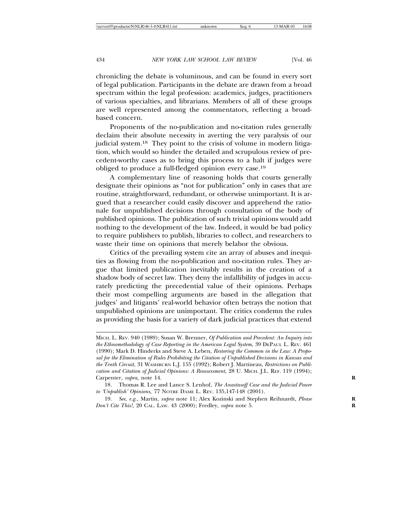chronicling the debate is voluminous, and can be found in every sort of legal publication. Participants in the debate are drawn from a broad spectrum within the legal profession: academics, judges, practitioners of various specialties, and librarians. Members of all of these groups are well represented among the commentators, reflecting a broadbased concern.

Proponents of the no-publication and no-citation rules generally declaim their absolute necessity in averting the very paralysis of our judicial system.<sup>18</sup> They point to the crisis of volume in modern litigation, which would so hinder the detailed and scrupulous review of precedent-worthy cases as to bring this process to a halt if judges were obliged to produce a full-fledged opinion every case.<sup>19</sup>

A complementary line of reasoning holds that courts generally designate their opinions as "not for publication" only in cases that are routine, straightforward, redundant, or otherwise unimportant. It is argued that a researcher could easily discover and apprehend the rationale for unpublished decisions through consultation of the body of published opinions. The publication of such trivial opinions would add nothing to the development of the law. Indeed, it would be bad policy to require publishers to publish, libraries to collect, and researchers to waste their time on opinions that merely belabor the obvious.

Critics of the prevailing system cite an array of abuses and inequities as flowing from the no-publication and no-citation rules. They argue that limited publication inevitably results in the creation of a shadow body of secret law. They deny the infallibility of judges in accurately predicting the precedential value of their opinions. Perhaps their most compelling arguments are based in the allegation that judges' and litigants' real-world behavior often betrays the notion that unpublished opinions are unimportant. The critics condemn the rules as providing the basis for a variety of dark judicial practices that extend

MICH. L. REV. 940 (1989); Susan W. Brenner, *Of Publication and Precedent: An Inquiry into the Ethnomethodology of Case Reporting in the American Legal System,* 39 DEPAUL L. REV. 461 (1990); Mark D. Hinderks and Steve A. Leben, *Restoring the Common in the Law: A Proposal for the Elimination of Rules Prohibiting the Citation of Unpublished Decisions in Kansas and the Tenth Circuit,* 31 WASHBURN L.J. 155 (1992); Robert J. Martineau, *Restrictions on Publication and Citation of Judicial Opinions: A Reassessment,* 28 U. MICH. J.L. REF. 119 (1994); Carpenter, *supra,* note 14. **R**

<sup>18.</sup> Thomas R. Lee and Lance S. Lenhof, *The Anastasoff Case and the Judicial Power to 'Unpublish' Opinions,* 77 NOTRE DAME L. REV. 135,147-148 (2001).

<sup>19.</sup> *See, e.g.*, Martin, *supra* note 11; Alex Kozinski and Stephen Reihnardt, *Please* **R** *Don't Cite This!,* 20 CAL. LAW. 43 (2000); Fredley, *supra* note 5. **R**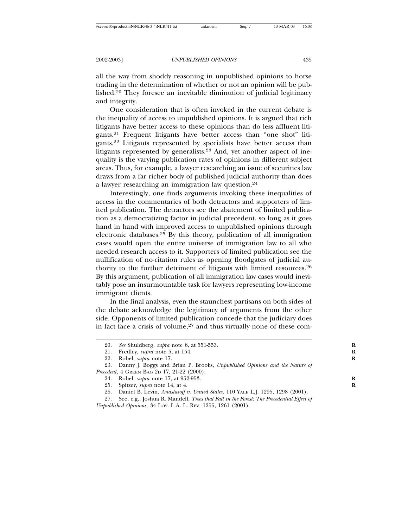all the way from shoddy reasoning in unpublished opinions to horse trading in the determination of whether or not an opinion will be published.20 They foresee an inevitable diminution of judicial legitimacy and integrity.

One consideration that is often invoked in the current debate is the inequality of access to unpublished opinions. It is argued that rich litigants have better access to these opinions than do less affluent litigants.21 Frequent litigants have better access than "one shot" litigants.22 Litigants represented by specialists have better access than litigants represented by generalists.23 And, yet another aspect of inequality is the varying publication rates of opinions in different subject areas. Thus, for example, a lawyer researching an issue of securities law draws from a far richer body of published judicial authority than does a lawyer researching an immigration law question.<sup>24</sup>

Interestingly, one finds arguments invoking these inequalities of access in the commentaries of both detractors and supporters of limited publication. The detractors see the abatement of limited publication as a democratizing factor in judicial precedent, so long as it goes hand in hand with improved access to unpublished opinions through electronic databases.25 By this theory, publication of all immigration cases would open the entire universe of immigration law to all who needed research access to it. Supporters of limited publication see the nullification of no-citation rules as opening floodgates of judicial authority to the further detriment of litigants with limited resources.<sup>26</sup> By this argument, publication of all immigration law cases would inevitably pose an insurmountable task for lawyers representing low-income immigrant clients.

In the final analysis, even the staunchest partisans on both sides of the debate acknowledge the legitimacy of arguments from the other side. Opponents of limited publication concede that the judiciary does in fact face a crisis of volume, $27$  and thus virtually none of these com-

<sup>20.</sup> *See* Shuldberg, *supra* note 6, at 551-553. **R**

<sup>21.</sup> Fredley, *supra* note 5, at 154. **R**

<sup>22.</sup> Robel, *supra* note 17. **R**

<sup>23.</sup> Danny J. Boggs and Brian P. Brooks, *Unpublished Opinions and the Nature of Precedent,* 4 GREEN BAG 2D 17, 21-22 (2000).

<sup>24.</sup> Robel, *supra* note 17, at 952-953. **R**

<sup>25.</sup> Spitzer, *supra* note 14, at 4. **R**

<sup>26.</sup> Daniel B. Levin, *Anastasoff v. United States,* 110 YALE L.J. 1295, 1298 (2001).

<sup>27.</sup> See, e.g., Joshua R. Mandell, *Trees that Fall in the Forest: The Precedential Effect of Unpublished Opinions,* 34 LOY. L.A. L. REV. 1255, 1261 (2001).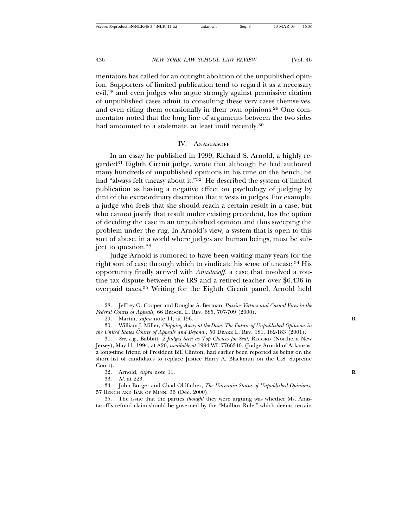mentators has called for an outright abolition of the unpublished opinion. Supporters of limited publication tend to regard it as a necessary evil,28 and even judges who argue strongly against permissive citation of unpublished cases admit to consulting these very cases themselves, and even citing them occasionally in their own opinions.29 One commentator noted that the long line of arguments between the two sides had amounted to a stalemate, at least until recently.<sup>30</sup>

### IV. ANASTASOFF

In an essay he published in 1999, Richard S. Arnold, a highly regarded<sup>31</sup> Eighth Circuit judge, wrote that although he had authored many hundreds of unpublished opinions in his time on the bench, he had "always felt uneasy about it."32 He described the system of limited publication as having a negative effect on psychology of judging by dint of the extraordinary discretion that it vests in judges. For example, a judge who feels that she should reach a certain result in a case, but who cannot justify that result under existing precedent, has the option of deciding the case in an unpublished opinion and thus sweeping the problem under the rug. In Arnold's view, a system that is open to this sort of abuse, in a world where judges are human beings, must be subject to question.<sup>33</sup>

Judge Arnold is rumored to have been waiting many years for the right sort of case through which to vindicate his sense of unease.<sup>34</sup> His opportunity finally arrived with *Anastasoff*, a case that involved a routine tax dispute between the IRS and a retired teacher over \$6,436 in overpaid taxes.35 Writing for the Eighth Circuit panel, Arnold held

<sup>28.</sup> Jeffrey O. Cooper and Douglas A. Berman, *Passive Virtues and Casual Vices in the Federal Courts of Appeals,* 66 BROOK. L. REV. 685, 707-709 (2000).

<sup>29.</sup> Martin, *supra* note 11, at 196. **R**

<sup>30.</sup> William J. Miller, *Chipping Away at the Dam: The Future of Unpublished Opinions in the United States Courts of Appeals and Beyond.,* 50 DRAKE L. REV. 181, 182-183 (2001).

<sup>31.</sup> *See, e.g.*, Babbitt*, 2 Judges Seen as Top Choices for Seat,* RECORD (Northern New Jersey), May 11, 1994, at A20, *available at* 1994 WL 7766346. (Judge Arnold of Arkansas, a long-time friend of President Bill Clinton, had earlier been reported as being on the short list of candidates to replace Justice Harry A. Blackmun on the U.S. Supreme Court).

<sup>32.</sup> Arnold, *supra* note 11. **R**

<sup>33.</sup> *Id.* at 223.

<sup>34.</sup> John Borger and Chad Oldfather, *The Uncertain Status of Unpublished Opinions,* 57 BENCH AND BAR OF MINN. 36 (Dec. 2000).

<sup>35.</sup> The issue that the parties *thought* they were arguing was whether Ms. Anastasoff's refund claim should be governed by the "Mailbox Rule," which deems certain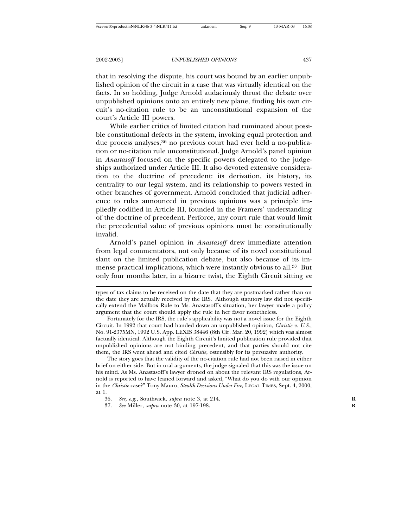that in resolving the dispute, his court was bound by an earlier unpublished opinion of the circuit in a case that was virtually identical on the facts. In so holding, Judge Arnold audaciously thrust the debate over unpublished opinions onto an entirely new plane, finding his own circuit's no-citation rule to be an unconstitutional expansion of the court's Article III powers.

While earlier critics of limited citation had ruminated about possible constitutional defects in the system, invoking equal protection and due process analyses,<sup>36</sup> no previous court had ever held a no-publication or no-citation rule unconstitutional. Judge Arnold's panel opinion in *Anastasoff* focused on the specific powers delegated to the judgeships authorized under Article III. It also devoted extensive consideration to the doctrine of precedent: its derivation, its history, its centrality to our legal system, and its relationship to powers vested in other branches of government. Arnold concluded that judicial adherence to rules announced in previous opinions was a principle impliedly codified in Article III, founded in the Framers' understanding of the doctrine of precedent. Perforce, any court rule that would limit the precedential value of previous opinions must be constitutionally invalid.

Arnold's panel opinion in *Anastasoff* drew immediate attention from legal commentators, not only because of its novel constitutional slant on the limited publication debate, but also because of its immense practical implications, which were instantly obvious to all.37 But only four months later, in a bizarre twist, the Eighth Circuit sitting *en*

The story goes that the validity of the no-citation rule had not been raised in either brief on either side. But in oral arguments, the judge signaled that this was the issue on his mind. As Ms. Anastasoff's lawyer droned on about the relevant IRS regulations, Arnold is reported to have leaned forward and asked, "What do you do with our opinion in the *Christie* case?" Tony Mauro, *Stealth Decisions Under Fire,* LEGAL TIMES, Sept. 4, 2000, at 1.

types of tax claims to be received on the date that they are postmarked rather than on the date they are actually received by the IRS. Although statutory law did not specifically extend the Mailbox Rule to Ms. Anastasoff's situation, her lawyer made a policy argument that the court should apply the rule in her favor nonetheless.

Fortunately for the IRS, the rule's applicability was not a novel issue for the Eighth Circuit. In 1992 that court had handed down an unpublished opinion, *Christie v. U.S.*, No. 91-2375MN, 1992 U.S. App. LEXIS 38446 (8th Cir. Mar. 20, 1992) which was almost factually identical. Although the Eighth Circuit's limited publication rule provided that unpublished opinions are not binding precedent, and that parties should not cite them, the IRS went ahead and cited *Christie*, ostensibly for its persuasive authority.

<sup>36.</sup> *See, e.g.*, Southwick, *supra* note 3, at 214. **R**

<sup>37.</sup> *See* Miller, *supra* note 30, at 197-198. **R**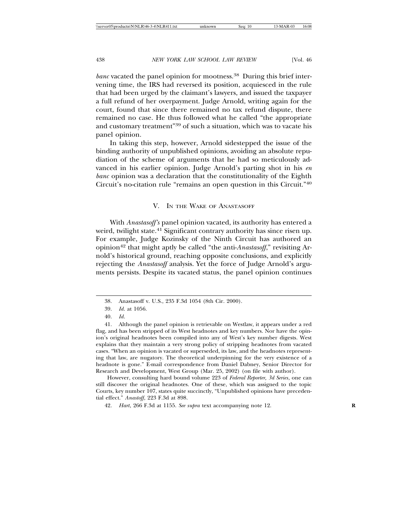*banc* vacated the panel opinion for mootness.<sup>38</sup> During this brief intervening time, the IRS had reversed its position, acquiesced in the rule that had been urged by the claimant's lawyers, and issued the taxpayer a full refund of her overpayment. Judge Arnold, writing again for the court, found that since there remained no tax refund dispute, there remained no case. He thus followed what he called "the appropriate and customary treatment"39 of such a situation, which was to vacate his panel opinion.

In taking this step, however, Arnold sidestepped the issue of the binding authority of unpublished opinions, avoiding an absolute repudiation of the scheme of arguments that he had so meticulously advanced in his earlier opinion. Judge Arnold's parting shot in his *en banc* opinion was a declaration that the constitutionality of the Eighth Circuit's no-citation rule "remains an open question in this Circuit."<sup>40</sup>

## V. IN THE WAKE OF ANASTASOFF

With *Anastasoff's* panel opinion vacated, its authority has entered a weird, twilight state.<sup>41</sup> Significant contrary authority has since risen up. For example, Judge Kozinsky of the Ninth Circuit has authored an opinion42 that might aptly be called "the anti-*Anastasoff*," revisiting Arnold's historical ground, reaching opposite conclusions, and explicitly rejecting the *Anastasoff* analysis. Yet the force of Judge Arnold's arguments persists. Despite its vacated status, the panel opinion continues

However, consulting hard bound volume 223 of *Federal Reporter, 3d Series*, one can still discover the original headnotes. One of these, which was assigned to the topic Courts, key number 107, states quite succinctly, "Unpublished opinions have precedential effect." *Anastoff*, 223 F.3d at 898.

<sup>38.</sup> Anastasoff v. U.S., 235 F.3d 1054 (8th Cir. 2000).

<sup>39.</sup> *Id*. at 1056.

<sup>40.</sup> *Id*.

<sup>41.</sup> Although the panel opinion is retrievable on Westlaw, it appears under a red flag, and has been stripped of its West headnotes and key numbers. Nor have the opinion's original headnotes been compiled into any of West's key number digests. West explains that they maintain a very strong policy of stripping headnotes from vacated cases. "When an opinion is vacated or superseded, its law, and the headnotes representing that law, are nugatory. The theoretical underpinning for the very existence of a headnote is gone." E-mail correspondence from Daniel Dabney, Senior Director for Research and Development, West Group (Mar. 25, 2002) (on file with author).

<sup>42.</sup> *Hart*, 266 F.3d at 1155. *See supra* text accompanying note 12. **R**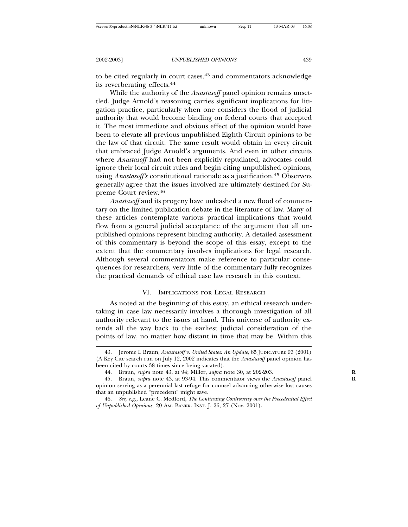to be cited regularly in court cases, $43$  and commentators acknowledge its reverberating effects.<sup>44</sup>

While the authority of the *Anastasoff* panel opinion remains unsettled, Judge Arnold's reasoning carries significant implications for litigation practice, particularly when one considers the flood of judicial authority that would become binding on federal courts that accepted it. The most immediate and obvious effect of the opinion would have been to elevate all previous unpublished Eighth Circuit opinions to be the law of that circuit. The same result would obtain in every circuit that embraced Judge Arnold's arguments. And even in other circuits where *Anastasoff* had not been explicitly repudiated, advocates could ignore their local circuit rules and begin citing unpublished opinions, using *Anastasoff's* constitutional rationale as a justification.45 Observers generally agree that the issues involved are ultimately destined for Supreme Court review.<sup>46</sup>

*Anastasoff* and its progeny have unleashed a new flood of commentary on the limited publication debate in the literature of law. Many of these articles contemplate various practical implications that would flow from a general judicial acceptance of the argument that all unpublished opinions represent binding authority. A detailed assessment of this commentary is beyond the scope of this essay, except to the extent that the commentary involves implications for legal research. Although several commentators make reference to particular consequences for researchers, very little of the commentary fully recognizes the practical demands of ethical case law research in this context.

### VI. IMPLICATIONS FOR LEGAL RESEARCH

As noted at the beginning of this essay, an ethical research undertaking in case law necessarily involves a thorough investigation of all authority relevant to the issues at hand. This universe of authority extends all the way back to the earliest judicial consideration of the points of law, no matter how distant in time that may be. Within this

<sup>43.</sup> Jerome I. Braun, *Anastasoff v. United States: An Update,* 85 JUDICATURE 93 (2001) (A Key Cite search run on July 12, 2002 indicates that the *Anastasoff* panel opinion has been cited by courts 38 times since being vacated).

<sup>44.</sup> Braun, *supra* note 43, at 94; Miller, *supra* note 30, at 202-203. **R**

<sup>45.</sup> Braun, *supra* note 43, at 93-94. This commentator views the *Anastasoff* panel **R** opinion serving as a perennial last refuge for counsel advancing otherwise lost causes that an unpublished "precedent" might save.

<sup>46.</sup> *See, e.g*., Leane C. Medford, *The Continuing Controversy over the Precedential Effect of Unpublished Opinions,* 20 AM. BANKR. INST. J. 26, 27 (Nov. 2001).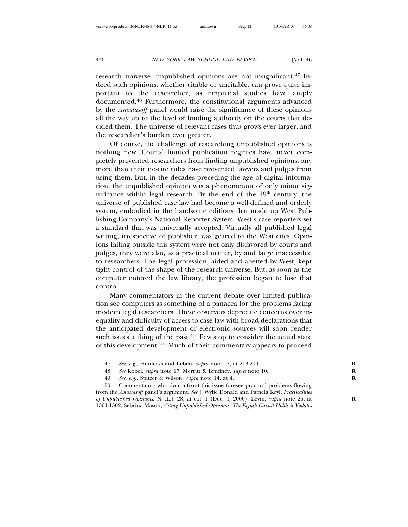research universe, unpublished opinions are not insignificant.<sup>47</sup> Indeed such opinions, whether citable or uncitable, can prove quite important to the researcher, as empirical studies have amply documented.48 Furthermore, the constitutional arguments advanced by the *Anastasoff* panel would raise the significance of these opinions all the way up to the level of binding authority on the courts that decided them. The universe of relevant cases thus grows ever larger, and the researcher's burden ever greater.

Of course, the challenge of researching unpublished opinions is nothing new. Courts' limited publication regimes have never completely prevented researchers from finding unpublished opinions, any more than their no-cite rules have prevented lawyers and judges from using them. But, in the decades preceding the age of digital information, the unpublished opinion was a phenomenon of only minor significance within legal research. By the end of the  $19<sup>th</sup>$  century, the universe of published case law had become a well-defined and orderly system, embodied in the handsome editions that made up West Publishing Company's National Reporter System. West's case reporters set a standard that was universally accepted. Virtually all published legal writing, irrespective of publisher, was geared to the West cites. Opinions falling outside this system were not only disfavored by courts and judges, they were also, as a practical matter, by and large inaccessible to researchers. The legal profession, aided and abetted by West, kept tight control of the shape of the research universe. But, as soon as the computer entered the law library, the profession began to lose that control.

Many commentators in the current debate over limited publication see computers as something of a panacea for the problems facing modern legal researchers. These observers deprecate concerns over inequality and difficulty of access to case law with broad declarations that the anticipated development of electronic sources will soon render such issues a thing of the past.<sup>49</sup> Few stop to consider the actual state of this development.50 Much of their commentary appears to proceed

<sup>47.</sup> *See, e.g*., Hinderks and Leben, *supra* note 17, at 213-214. **R**

<sup>48.</sup> *See* Robel, *supra* note 17; Merritt & Brudney, *supra* note 10. **R**

<sup>49.</sup> *See, e.g*., Spitzer & Wilson, *supra* note 14, at 4. **R**

<sup>50.</sup> Commentators who do confront this issue foresee practical problems flowing from the *Anastasoff* panel's argument. *See* J. Wylie Donald and Pamela Keyl, *Practicalities of Unpublished Opinions,* N.J.L.J. 28, at col. 1 (Dec. 4, 2000); Levin, *supra* note 26, at **R** 1301-1302; Sebrina Mason, *Citing Unpublished Opinions: The Eighth Circuit Holds it Violates*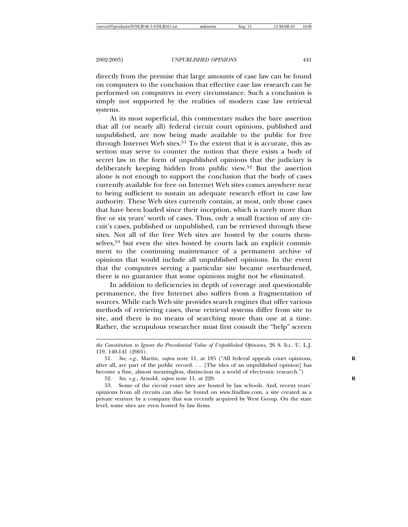directly from the premise that large amounts of case law can be found on computers to the conclusion that effective case law research can be performed on computers in every circumstance. Such a conclusion is simply not supported by the realities of modern case law retrieval systems.

At its most superficial, this commentary makes the bare assertion that all (or nearly all) federal circuit court opinions, published and unpublished, are now being made available to the public for free through Internet Web sites.<sup>51</sup> To the extent that it is accurate, this assertion may serve to counter the notion that there exists a body of secret law in the form of unpublished opinions that the judiciary is deliberately keeping hidden from public view.52 But the assertion alone is not enough to support the conclusion that the body of cases currently available for free on Internet Web sites comes anywhere near to being sufficient to sustain an adequate research effort in case law authority. These Web sites currently contain, at most, only those cases that have been loaded since their inception, which is rarely more than five or six years' worth of cases. Thus, only a small fraction of any circuit's cases, published or unpublished, can be retrieved through these sites. Not all of the free Web sites are hosted by the courts themselves,<sup>53</sup> but even the sites hosted by courts lack an explicit commitment to the continuing maintenance of a permanent archive of opinions that would include all unpublished opinions. In the event that the computers serving a particular site became overburdened, there is no guarantee that some opinions might not be eliminated.

In addition to deficiencies in depth of coverage and questionable permanence, the free Internet also suffers from a fragmentation of sources. While each Web site provides search engines that offer various methods of retrieving cases, these retrieval systems differ from site to site, and there is no means of searching more than one at a time. Rather, the scrupulous researcher must first consult the "help" screen

*the Constitution to Ignore the Precedential Value of Unpublished Opinions,* 26 S. ILL. U. L.J. 119, 140-141 (2001).

<sup>51.</sup> *See, e.g.,* Martin, *supra* note 11, at 185 ("All federal appeals court opinions, **R** after all, are part of the public record. . .. [The idea of an unpublished opinion] has become a fine, almost meaningless, distinction in a world of electronic research.")

<sup>52.</sup> *See, e.g*., Arnold, *supra* note 11, at 220. **R**

<sup>53.</sup> Some of the circuit court sites are hosted by law schools. And, recent years' opinions from all circuits can also be found on www.findlaw.com, a site created as a private venture by a company that was recently acquired by West Group. On the state level, some sites are even hosted by law firms.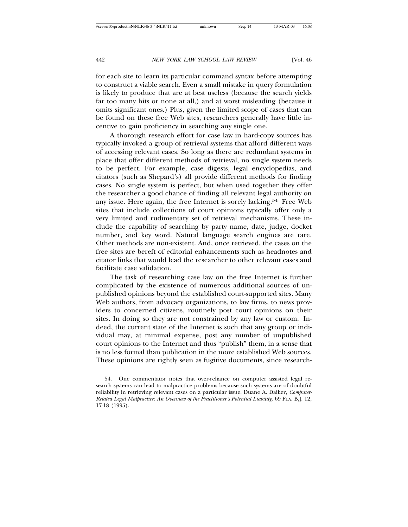for each site to learn its particular command syntax before attempting to construct a viable search. Even a small mistake in query formulation is likely to produce that are at best useless (because the search yields far too many hits or none at all,) and at worst misleading (because it omits significant ones.) Plus, given the limited scope of cases that can be found on these free Web sites, researchers generally have little incentive to gain proficiency in searching any single one.

A thorough research effort for case law in hard-copy sources has typically invoked a group of retrieval systems that afford different ways of accessing relevant cases. So long as there are redundant systems in place that offer different methods of retrieval, no single system needs to be perfect. For example, case digests, legal encyclopedias, and citators (such as Shepard's) all provide different methods for finding cases. No single system is perfect, but when used together they offer the researcher a good chance of finding all relevant legal authority on any issue. Here again, the free Internet is sorely lacking.54 Free Web sites that include collections of court opinions typically offer only a very limited and rudimentary set of retrieval mechanisms. These include the capability of searching by party name, date, judge, docket number, and key word. Natural language search engines are rare. Other methods are non-existent. And, once retrieved, the cases on the free sites are bereft of editorial enhancements such as headnotes and citator links that would lead the researcher to other relevant cases and facilitate case validation.

The task of researching case law on the free Internet is further complicated by the existence of numerous additional sources of unpublished opinions beyond the established court-supported sites. Many Web authors, from advocacy organizations, to law firms, to news providers to concerned citizens, routinely post court opinions on their sites. In doing so they are not constrained by any law or custom. Indeed, the current state of the Internet is such that any group or individual may, at minimal expense, post any number of unpublished court opinions to the Internet and thus "publish" them, in a sense that is no less formal than publication in the more established Web sources. These opinions are rightly seen as fugitive documents, since research-

<sup>54.</sup> One commentator notes that over-reliance on computer assisted legal research systems can lead to malpractice problems because such systems are of doubtful reliability in retrieving relevant cases on a particular issue. Duane A. Daiker, *Computer-Related Legal Malpractice: An Overview of the Practitioner's Potential Liability,* 69 FLA. B.J. 12, 17-18 (1995).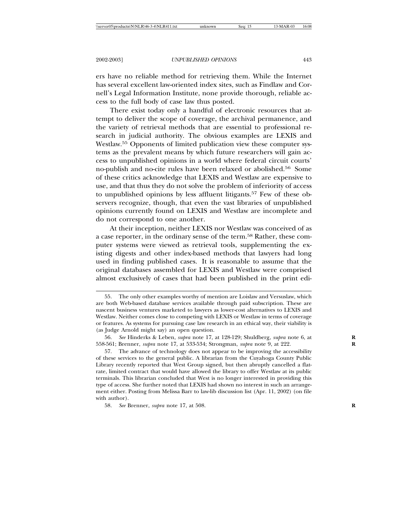ers have no reliable method for retrieving them. While the Internet has several excellent law-oriented index sites, such as Findlaw and Cornell's Legal Information Institute, none provide thorough, reliable access to the full body of case law thus posted.

There exist today only a handful of electronic resources that attempt to deliver the scope of coverage, the archival permanence, and the variety of retrieval methods that are essential to professional research in judicial authority. The obvious examples are LEXIS and Westlaw.55 Opponents of limited publication view these computer systems as the prevalent means by which future researchers will gain access to unpublished opinions in a world where federal circuit courts' no-publish and no-cite rules have been relaxed or abolished.56 Some of these critics acknowledge that LEXIS and Westlaw are expensive to use, and that thus they do not solve the problem of inferiority of access to unpublished opinions by less affluent litigants.<sup>57</sup> Few of these observers recognize, though, that even the vast libraries of unpublished opinions currently found on LEXIS and Westlaw are incomplete and do not correspond to one another.

At their inception, neither LEXIS nor Westlaw was conceived of as a case reporter, in the ordinary sense of the term.58 Rather, these computer systems were viewed as retrieval tools, supplementing the existing digests and other index-based methods that lawyers had long used in finding published cases. It is reasonable to assume that the original databases assembled for LEXIS and Westlaw were comprised almost exclusively of cases that had been published in the print edi-

<sup>55.</sup> The only other examples worthy of mention are Loislaw and Versuslaw, which are both Web-based database services available through paid subscription. These are nascent business ventures marketed to lawyers as lower-cost alternatives to LEXIS and Westlaw. Neither comes close to competing with LEXIS or Westlaw in terms of coverage or features. As systems for pursuing case law research in an ethical way, their viability is (as Judge Arnold might say) an open question.

<sup>56.</sup> *See* Hinderks & Leben, *supra* note 17, at 128-129; Shuldberg, *supra* note 6, at **R** 558-561; Brenner, *supra* note 17, at 533-534; Strongman, *supra* note 9, at 222. **R**

<sup>57.</sup> The advance of technology does not appear to be improving the accessibility of these services to the general public. A librarian from the Cuyahoga County Public Library recently reported that West Group signed, but then abruptly cancelled a flatrate, limited contract that would have allowed the library to offer Westlaw at its public terminals. This librarian concluded that West is no longer interested in providing this type of access. She further noted that LEXIS had shown no interest in such an arrangement either. Posting from Melissa Barr to law-lib discussion list (Apr. 11, 2002) (on file with author).

<sup>58.</sup> *See* Brenner, *supra* note 17, at 508. **R**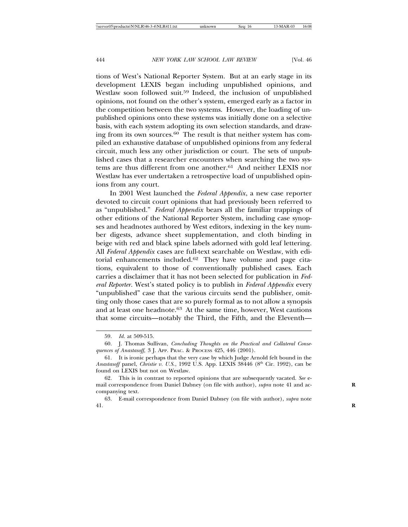tions of West's National Reporter System. But at an early stage in its development LEXIS began including unpublished opinions, and Westlaw soon followed suit.<sup>59</sup> Indeed, the inclusion of unpublished opinions, not found on the other's system, emerged early as a factor in the competition between the two systems. However, the loading of unpublished opinions onto these systems was initially done on a selective basis, with each system adopting its own selection standards, and drawing from its own sources.60 The result is that neither system has compiled an exhaustive database of unpublished opinions from any federal circuit, much less any other jurisdiction or court. The sets of unpublished cases that a researcher encounters when searching the two systems are thus different from one another.61 And neither LEXIS nor Westlaw has ever undertaken a retrospective load of unpublished opinions from any court.

In 2001 West launched the *Federal Appendix*, a new case reporter devoted to circuit court opinions that had previously been referred to as "unpublished." *Federal Appendix* bears all the familiar trappings of other editions of the National Reporter System, including case synopses and headnotes authored by West editors, indexing in the key number digests, advance sheet supplementation, and cloth binding in beige with red and black spine labels adorned with gold leaf lettering. All *Federal Appendix* cases are full-text searchable on Westlaw, with editorial enhancements included.<sup>62</sup> They have volume and page citations, equivalent to those of conventionally published cases. Each carries a disclaimer that it has not been selected for publication in *Federal Reporter*. West's stated policy is to publish in *Federal Appendix* every "unpublished" case that the various circuits send the publisher, omitting only those cases that are so purely formal as to not allow a synopsis and at least one headnote.<sup>63</sup> At the same time, however, West cautions that some circuits—notably the Third, the Fifth, and the Eleventh—

<sup>59.</sup> *Id*. at 509-515.

<sup>60.</sup> J. Thomas Sullivan, *Concluding Thoughts on the Practical and Collateral Consequences of Anastasoff,* 3 J. APP. PRAC. & PROCESS 425, 446 (2001).

<sup>61.</sup> It is ironic perhaps that the very case by which Judge Arnold felt bound in the *Anastasoff* panel, *Christie v. U.S.*, 1992 U.S. App. LEXIS 38446 (8<sup>th</sup> Cir. 1992), can be found on LEXIS but not on Westlaw.

<sup>62.</sup> This is in contrast to reported opinions that are subsequently vacated. *See* email correspondence from Daniel Dabney (on file with author), *supra* note 41 and ac- **R** companying text.

<sup>63.</sup> E-mail correspondence from Daniel Dabney (on file with author), *supra* note 41. **R**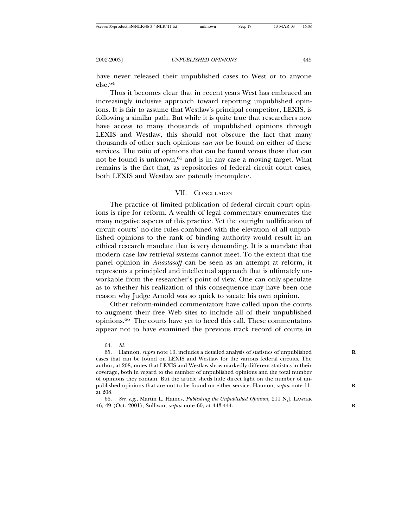have never released their unpublished cases to West or to anyone else.64

Thus it becomes clear that in recent years West has embraced an increasingly inclusive approach toward reporting unpublished opinions. It is fair to assume that Westlaw's principal competitor, LEXIS, is following a similar path. But while it is quite true that researchers now have access to many thousands of unpublished opinions through LEXIS and Westlaw, this should not obscure the fact that many thousands of other such opinions *can not* be found on either of these services. The ratio of opinions that can be found versus those that can not be found is unknown,<sup>65</sup> and is in any case a moving target. What remains is the fact that, as repositories of federal circuit court cases, both LEXIS and Westlaw are patently incomplete.

## VII. CONCLUSION

The practice of limited publication of federal circuit court opinions is ripe for reform. A wealth of legal commentary enumerates the many negative aspects of this practice. Yet the outright nullification of circuit courts' no-cite rules combined with the elevation of all unpublished opinions to the rank of binding authority would result in an ethical research mandate that is very demanding. It is a mandate that modern case law retrieval systems cannot meet. To the extent that the panel opinion in *Anastasoff* can be seen as an attempt at reform, it represents a principled and intellectual approach that is ultimately unworkable from the researcher's point of view. One can only speculate as to whether his realization of this consequence may have been one reason why Judge Arnold was so quick to vacate his own opinion.

Other reform-minded commentators have called upon the courts to augment their free Web sites to include all of their unpublished opinions.66 The courts have yet to heed this call. These commentators appear not to have examined the previous track record of courts in

<sup>64.</sup> *Id*.

<sup>65.</sup> Hannon, *supra* note 10, includes a detailed analysis of statistics of unpublished **R** cases that can be found on LEXIS and Westlaw for the various federal circuits. The author, at 208, notes that LEXIS and Westlaw show markedly different statistics in their coverage, both in regard to the number of unpublished opinions and the total number of opinions they contain. But the article sheds little direct light on the number of unpublished opinions that are not to be found on either service. Hannon, *supra* note 11, **R** at 208.

<sup>66.</sup> *See. e.g.*, Martin L. Haines, *Publishing the Unpublished Opinion,* 211 N.J. LAWYER 46, 49 (Oct. 2001); Sullivan, *supra* note 60, at 443-444. **R**